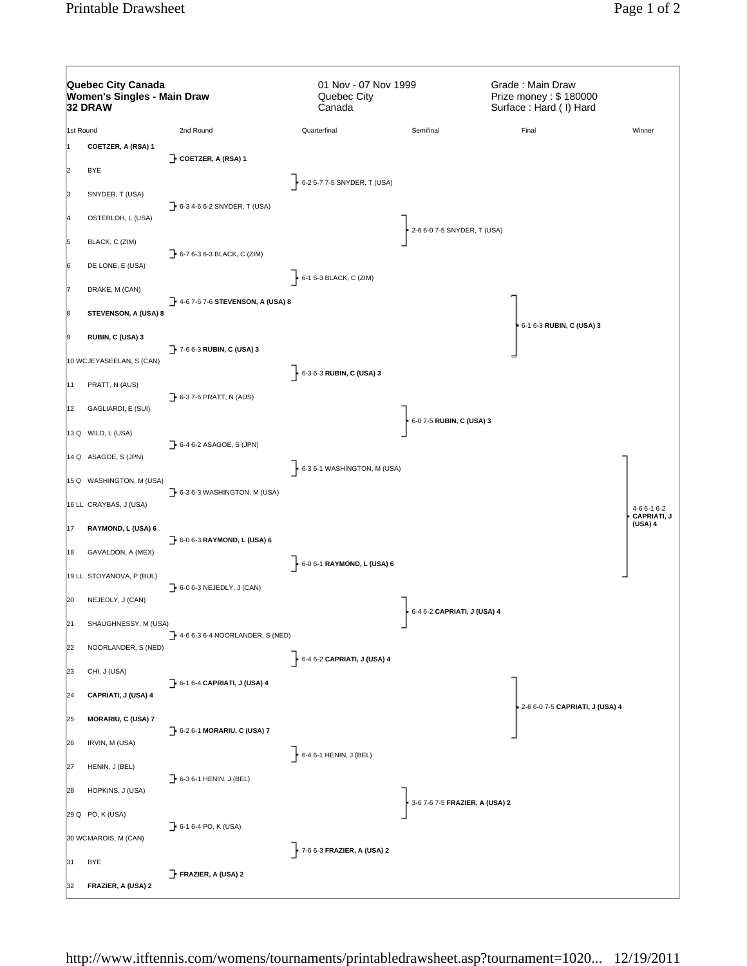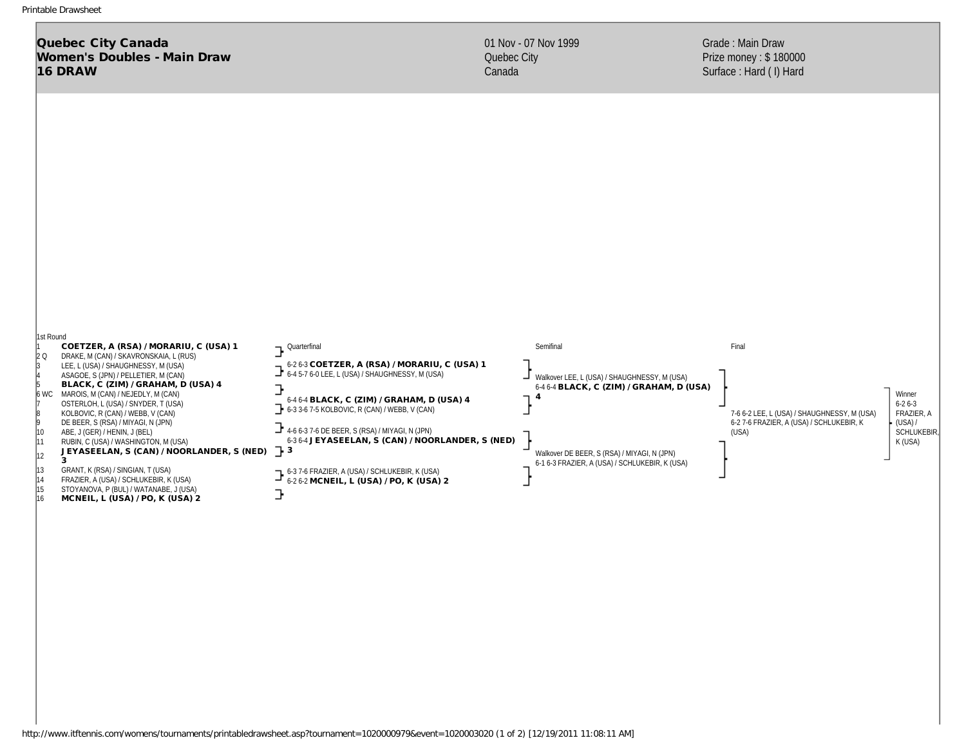Quebec City Canada Women's Doubles - Main Draw 16 DRAW

Grade : Main Draw Prize money : \$ 180000 Surface : Hard ( I) Hard



http://www.itftennis.com/womens/tournaments/printabledrawsheet.asp?tournament=1020000979&event=1020003020 (1 of 2) [12/19/2011 11:08:11 AM]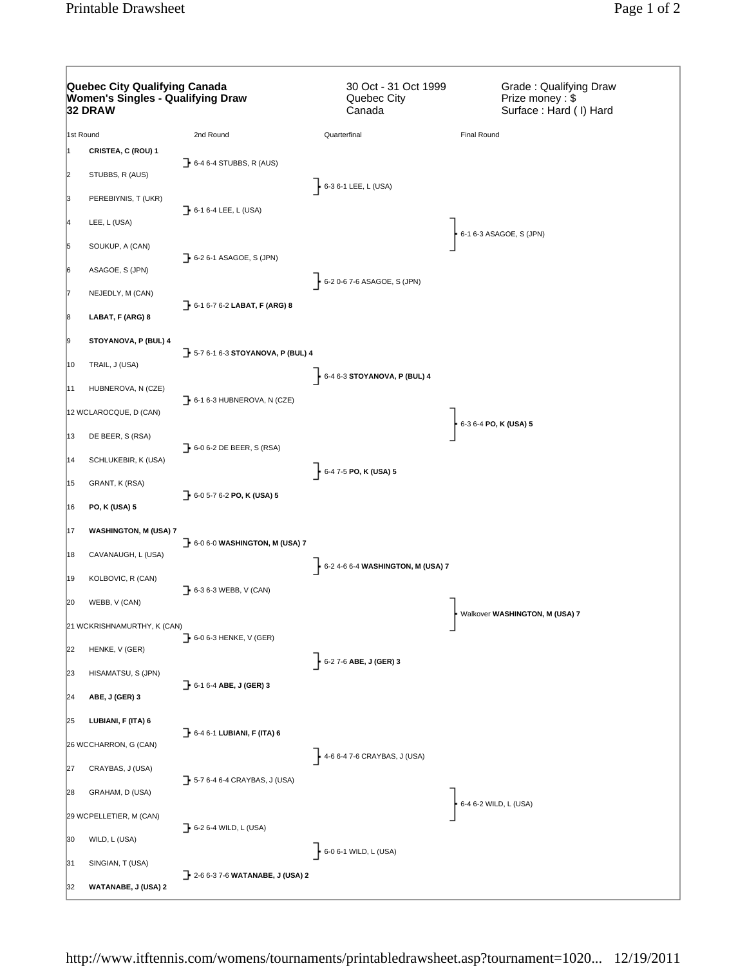